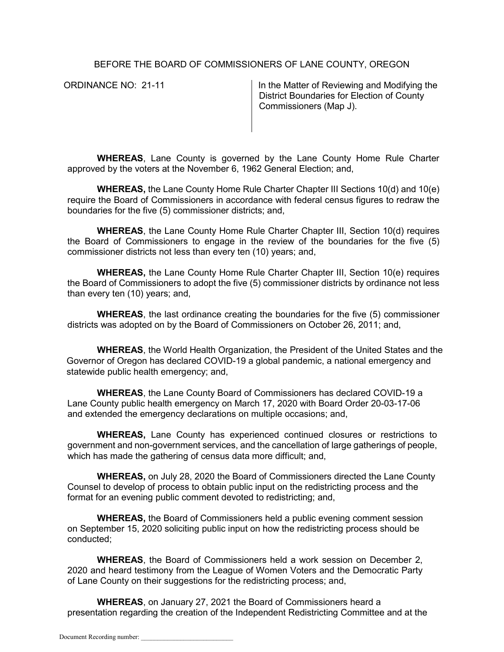BEFORE THE BOARD OF COMMISSIONERS OF LANE COUNTY, OREGON

ORDINANCE NO: 21-11 **In the Matter of Reviewing and Modifying the** District Boundaries for Election of County Commissioners (Map J).

**WHEREAS**, Lane County is governed by the Lane County Home Rule Charter approved by the voters at the November 6, 1962 General Election; and,

**WHEREAS,** the Lane County Home Rule Charter Chapter III Sections 10(d) and 10(e) require the Board of Commissioners in accordance with federal census figures to redraw the boundaries for the five (5) commissioner districts; and,

**WHEREAS**, the Lane County Home Rule Charter Chapter III, Section 10(d) requires the Board of Commissioners to engage in the review of the boundaries for the five (5) commissioner districts not less than every ten (10) years; and,

**WHEREAS,** the Lane County Home Rule Charter Chapter III, Section 10(e) requires the Board of Commissioners to adopt the five (5) commissioner districts by ordinance not less than every ten (10) years; and,

**WHEREAS**, the last ordinance creating the boundaries for the five (5) commissioner districts was adopted on by the Board of Commissioners on October 26, 2011; and,

**WHEREAS**, the World Health Organization, the President of the United States and the Governor of Oregon has declared COVID-19 a global pandemic, a national emergency and statewide public health emergency; and,

**WHEREAS**, the Lane County Board of Commissioners has declared COVID-19 a Lane County public health emergency on March 17, 2020 with Board Order 20-03-17-06 and extended the emergency declarations on multiple occasions; and,

**WHEREAS,** Lane County has experienced continued closures or restrictions to government and non-government services, and the cancellation of large gatherings of people, which has made the gathering of census data more difficult; and,

**WHEREAS,** on July 28, 2020 the Board of Commissioners directed the Lane County Counsel to develop of process to obtain public input on the redistricting process and the format for an evening public comment devoted to redistricting; and,

**WHEREAS,** the Board of Commissioners held a public evening comment session on September 15, 2020 soliciting public input on how the redistricting process should be conducted;

**WHEREAS**, the Board of Commissioners held a work session on December 2, 2020 and heard testimony from the League of Women Voters and the Democratic Party of Lane County on their suggestions for the redistricting process; and,

**WHEREAS**, on January 27, 2021 the Board of Commissioners heard a presentation regarding the creation of the Independent Redistricting Committee and at the

Document Recording number: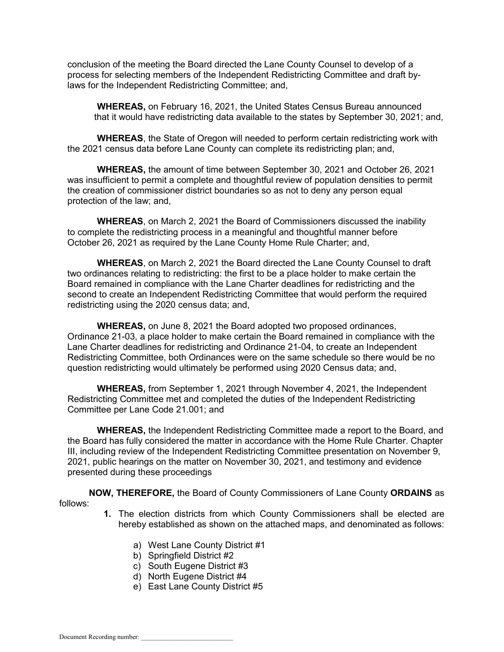conclusion of the meeting the Board directed the Lane County Counsel to develop of a process for selecting members of the Independent Redistricting Committee and draft bylaws for the Independent Redistricting Committee; and,

**WHEREAS,** on February 16, 2021, the United States Census Bureau announced that it would have redistricting data available to the states by September 30, 2021; and,

**WHEREAS**, the State of Oregon will needed to perform certain redistricting work with the 2021 census data before Lane County can complete its redistricting plan; and,

**WHEREAS,** the amount of time between September 30, 2021 and October 26, 2021 was insufficient to permit a complete and thoughtful review of population densities to permit the creation of commissioner district boundaries so as not to deny any person equal protection of the law; and,

**WHEREAS**, on March 2, 2021 the Board of Commissioners discussed the inability to complete the redistricting process in a meaningful and thoughtful manner before October 26, 2021 as required by the Lane County Home Rule Charter; and,

**WHEREAS**, on March 2, 2021 the Board directed the Lane County Counsel to draft two ordinances relating to redistricting: the first to be a place holder to make certain the Board remained in compliance with the Lane Charter deadlines for redistricting and the second to create an Independent Redistricting Committee that would perform the required redistricting using the 2020 census data; and,

**WHEREAS,** on June 8, 2021 the Board adopted two proposed ordinances, Ordinance 21-03, a place holder to make certain the Board remained in compliance with the Lane Charter deadlines for redistricting and Ordinance 21-04, to create an Independent Redistricting Committee, both Ordinances were on the same schedule so there would be no question redistricting would ultimately be performed using 2020 Census data; and,

**WHEREAS,** from September 1, 2021 through November 4, 2021, the Independent Redistricting Committee met and completed the duties of the Independent Redistricting Committee per Lane Code 21.001; and

**WHEREAS,** the Independent Redistricting Committee made a report to the Board, and the Board has fully considered the matter in accordance with the Home Rule Charter. Chapter III, including review of the Independent Redistricting Committee presentation on November 9, 2021, public hearings on the matter on November 30, 2021, and testimony and evidence presented during these proceedings

**NOW, THEREFORE,** the Board of County Commissioners of Lane County **ORDAINS** as follows:

- **1.** The election districts from which County Commissioners shall be elected are hereby established as shown on the attached maps, and denominated as follows:
	- a) West Lane County District #1
	- b) Springfield District #2
	- c) South Eugene District #3
	- d) North Eugene District #4
	- e) East Lane County District #5

Document Recording number: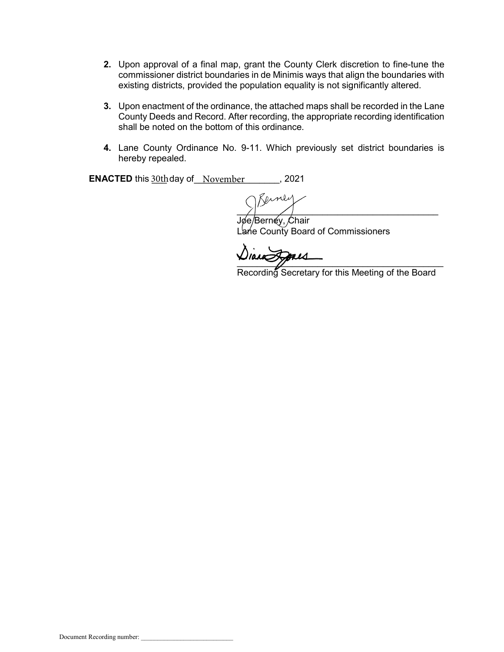- **2.** Upon approval of a final map, grant the County Clerk discretion to fine-tune the commissioner district boundaries in de Minimis ways that align the boundaries with existing districts, provided the population equality is not significantly altered.
- **3.** Upon enactment of the ordinance, the attached maps shall be recorded in the Lane County Deeds and Record. After recording, the appropriate recording identification shall be noted on the bottom of this ordinance.
- **4.** Lane County Ordinance No. 9-11. Which previously set district boundaries is hereby repealed.

**ENACTED** this  $\frac{30th}{\text{day of}}$  November \_\_\_\_\_\_, 2021

 $\sum_{i=1}^{n}$ 

Jøe/Bernéy, *C*hair Lańe County Board of Commissioners

 $\frac{1}{2}$ 

Recording Secretary for this Meeting of the Board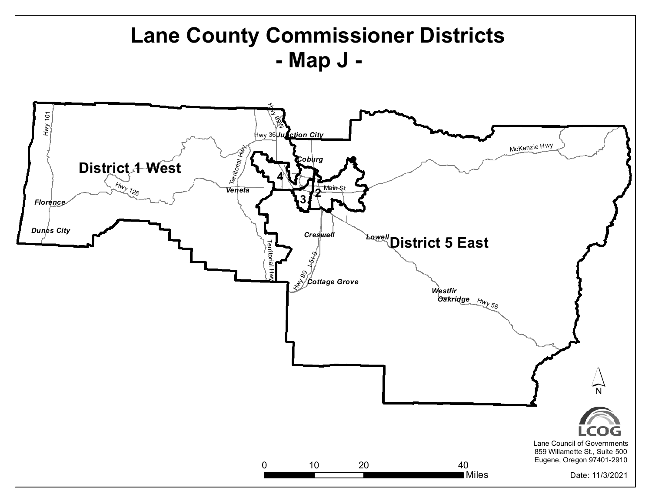